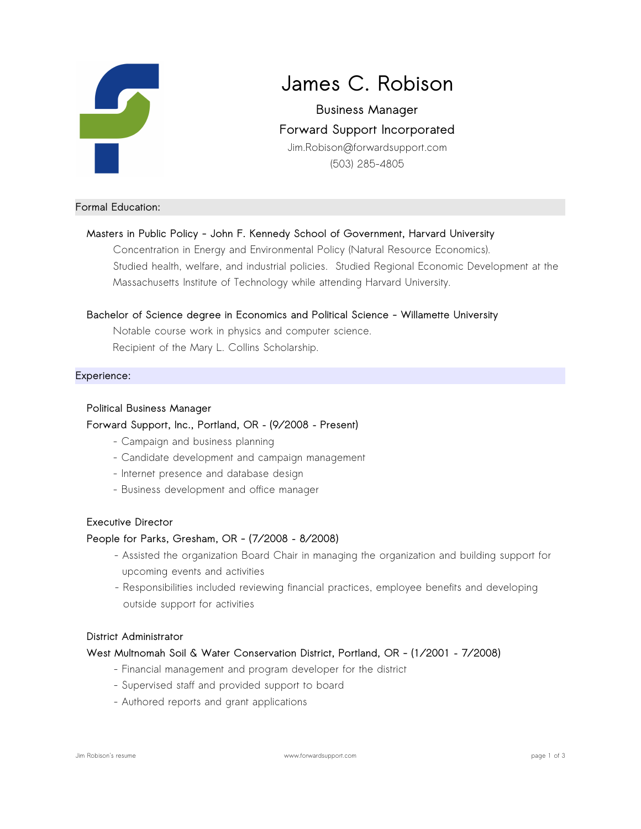

# **James C. Robison**

**Business Manager Forward Support Incorporated** Jim.Robison@forwardsupport.com (503) 285-4805

## **Formal Education:**

## **Masters in Public Policy - John F. Kennedy School of Government, Harvard University**

Concentration in Energy and Environmental Policy (Natural Resource Economics). Studied health, welfare, and industrial policies. Studied Regional Economic Development at the Massachusetts Institute of Technology while attending Harvard University.

## **Bachelor of Science degree in Economics and Political Science - Willamette University**

Notable course work in physics and computer science. Recipient of the Mary L. Collins Scholarship.

## **Experience:**

#### **Political Business Manager**

## **Forward Support, Inc., Portland, OR – (9/2008 – Present)**

- Campaign and business planning
- Candidate development and campaign management
- Internet presence and database design
- Business development and office manager

#### **Executive Director**

## **People for Parks, Gresham, OR - (7/2008 – 8/2008)**

- Assisted the organization Board Chair in managing the organization and building support for upcoming events and activities
- Responsibilities included reviewing financial practices, employee benefits and developing outside support for activities

#### **District Administrator**

## **West Multnomah Soil & Water Conservation District, Portland, OR - (1/2001 – 7/2008)**

- Financial management and program developer for the district
- Supervised staff and provided support to board
- Authored reports and grant applications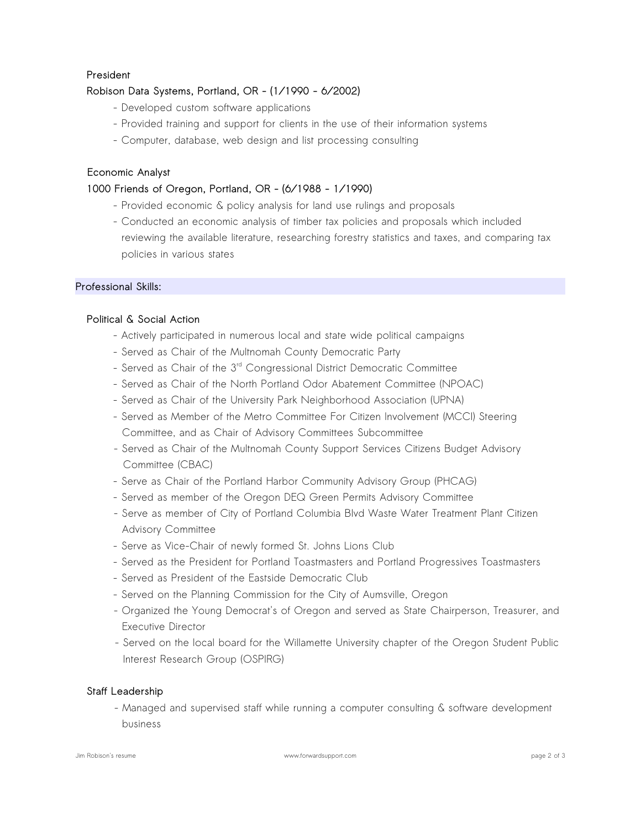## **President**

# **Robison Data Systems, Portland, OR - (1/1990 - 6/2002)**

- Developed custom software applications
- Provided training and support for clients in the use of their information systems
- Computer, database, web design and list processing consulting

## **Economic Analyst**

# **1000 Friends of Oregon, Portland, OR - (6/1988 - 1/1990)**

- Provided economic & policy analysis for land use rulings and proposals
- Conducted an economic analysis of timber tax policies and proposals which included reviewing the available literature, researching forestry statistics and taxes, and comparing tax policies in various states

## **Professional Skills:**

## **Political & Social Action**

- Actively participated in numerous local and state wide political campaigns
- Served as Chair of the Multnomah County Democratic Party
- Served as Chair of the 3<sup>rd</sup> Congressional District Democratic Committee
- Served as Chair of the North Portland Odor Abatement Committee (NPOAC)
- Served as Chair of the University Park Neighborhood Association (UPNA)
- Served as Member of the Metro Committee For Citizen Involvement (MCCI) Steering Committee, and as Chair of Advisory Committees Subcommittee
- Served as Chair of the Multnomah County Support Services Citizens Budget Advisory Committee (CBAC)
- Serve as Chair of the Portland Harbor Community Advisory Group (PHCAG)
- Served as member of the Oregon DEQ Green Permits Advisory Committee
- Serve as member of City of Portland Columbia Blvd Waste Water Treatment Plant Citizen Advisory Committee
- Serve as Vice-Chair of newly formed St. Johns Lions Club
- Served as the President for Portland Toastmasters and Portland Progressives Toastmasters
- Served as President of the Eastside Democratic Club
- Served on the Planning Commission for the City of Aumsville, Oregon
- Organized the Young Democrat's of Oregon and served as State Chairperson, Treasurer, and Executive Director
- Served on the local board for the Willamette University chapter of the Oregon Student Public Interest Research Group (OSPIRG)

## **Staff Leadership**

- Managed and supervised staff while running a computer consulting & software development business